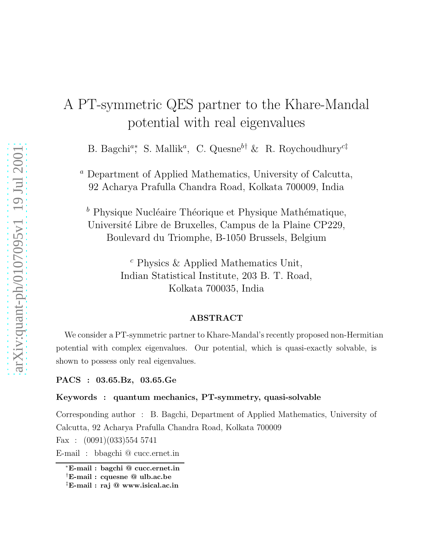## A PT-symmetric QES partner to the Khare-Mandal potential with real eigenvalues

B. Bagchi<sup>a</sup>\*, S. Mallik<sup>a</sup>, C. Quesne<sup>b†</sup> & R. Roychoudhury<sup>c‡</sup>

<sup>a</sup> Department of Applied Mathematics, University of Calcutta, 92 Acharya Prafulla Chandra Road, Kolkata 700009, India

 $<sup>b</sup>$  Physique Nucléaire Théorique et Physique Mathématique,</sup> Université Libre de Bruxelles, Campus de la Plaine CP229, Boulevard du Triomphe, B-1050 Brussels, Belgium

> $c$  Physics & Applied Mathematics Unit, Indian Statistical Institute, 203 B. T. Road, Kolkata 700035, India

## ABSTRACT

We consider a PT-symmetric partner to Khare-Mandal's recently proposed non-Hermitian potential with complex eigenvalues. Our potential, which is quasi-exactly solvable, is shown to possess only real eigenvalues.

PACS : 03.65.Bz, 03.65.Ge

## Keywords : quantum mechanics, PT-symmetry, quasi-solvable

Corresponding author : B. Bagchi, Department of Applied Mathematics, University of Calcutta, 92 Acharya Prafulla Chandra Road, Kolkata 700009

Fax :  $(0091)(033)5545741$ 

E-mail : bbagchi @ cucc.ernet.in

<sup>∗</sup>E-mail : bagchi @ cucc.ernet.in

<sup>†</sup>E-mail : cquesne @ ulb.ac.be

<sup>‡</sup>E-mail : raj @ www.isical.ac.in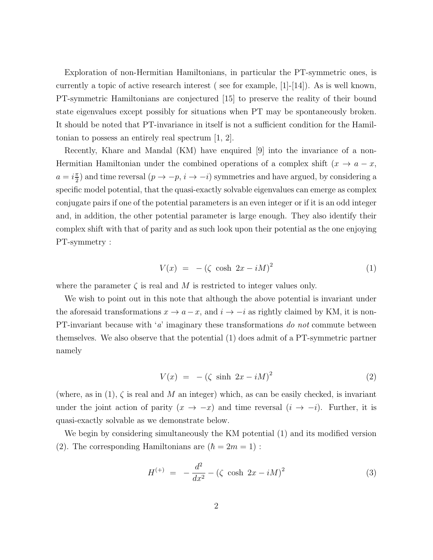Exploration of non-Hermitian Hamiltonians, in particular the PT-symmetric ones, is currently a topic of active research interest ( see for example, [1]-[14]). As is well known, PT-symmetric Hamiltonians are conjectured [15] to preserve the reality of their bound state eigenvalues except possibly for situations when PT may be spontaneously broken. It should be noted that PT-invariance in itself is not a sufficient condition for the Hamiltonian to possess an entirely real spectrum [1, 2].

Recently, Khare and Mandal (KM) have enquired [9] into the invariance of a non-Hermitian Hamiltonian under the combined operations of a complex shift  $(x \to a - x,$  $a = i\frac{\pi}{2}$  $\frac{\pi}{2}$ ) and time reversal  $(p \to -p, i \to -i)$  symmetries and have argued, by considering a specific model potential, that the quasi-exactly solvable eigenvalues can emerge as complex conjugate pairs if one of the potential parameters is an even integer or if it is an odd integer and, in addition, the other potential parameter is large enough. They also identify their complex shift with that of parity and as such look upon their potential as the one enjoying PT-symmetry :

$$
V(x) = -(\zeta \cosh 2x - iM)^2 \tag{1}
$$

where the parameter  $\zeta$  is real and M is restricted to integer values only.

We wish to point out in this note that although the above potential is invariant under the aforesaid transformations  $x \to a-x$ , and  $i \to -i$  as rightly claimed by KM, it is non-PT-invariant because with  $a'$  imaginary these transformations do not commute between themselves. We also observe that the potential (1) does admit of a PT-symmetric partner namely

$$
V(x) = -(\zeta \sinh 2x - iM)^2 \tag{2}
$$

(where, as in  $(1)$ ,  $\zeta$  is real and M an integer) which, as can be easily checked, is invariant under the joint action of parity  $(x \to -x)$  and time reversal  $(i \to -i)$ . Further, it is quasi-exactly solvable as we demonstrate below.

We begin by considering simultaneously the KM potential (1) and its modified version (2). The corresponding Hamiltonians are  $(\hbar = 2m = 1)$ :

$$
H^{(+)} = -\frac{d^2}{dx^2} - (\zeta \cosh 2x - iM)^2 \tag{3}
$$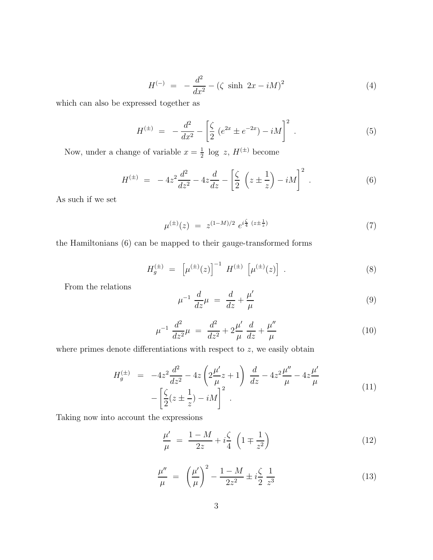$$
H^{(-)} = -\frac{d^2}{dx^2} - (\zeta \sinh 2x - iM)^2 \tag{4}
$$

which can also be expressed together as

$$
H^{(\pm)} = -\frac{d^2}{dx^2} - \left[\frac{\zeta}{2} \left(e^{2x} \pm e^{-2x}\right) - iM\right]^2 \,. \tag{5}
$$

Now, under a change of variable  $x=\frac{1}{2}$  $\frac{1}{2}$  log z,  $H^{(\pm)}$  become

$$
H^{(\pm)} = -4z^2 \frac{d^2}{dz^2} - 4z \frac{d}{dz} - \left[ \frac{\zeta}{2} \left( z \pm \frac{1}{z} \right) - iM \right]^2.
$$
 (6)

As such if we set

$$
\mu^{(\pm)}(z) = z^{(1-M)/2} e^{i\frac{\zeta}{4}(z \pm \frac{1}{z})} \tag{7}
$$

the Hamiltonians (6) can be mapped to their gauge-transformed forms

$$
H_g^{(\pm)} = \left[ \mu^{(\pm)}(z) \right]^{-1} H^{(\pm)} \left[ \mu^{(\pm)}(z) \right] . \tag{8}
$$

From the relations

$$
\mu^{-1} \frac{d}{dz} \mu = \frac{d}{dz} + \frac{\mu'}{\mu} \tag{9}
$$

$$
\mu^{-1} \frac{d^2}{dz^2} \mu = \frac{d^2}{dz^2} + 2\frac{\mu'}{\mu} \frac{d}{dz} + \frac{\mu''}{\mu}
$$
 (10)

where primes denote differentiations with respect to  $z$ , we easily obtain

$$
H_g^{(\pm)} = -4z^2 \frac{d^2}{dz^2} - 4z \left( 2\frac{\mu'}{\mu} z + 1 \right) \frac{d}{dz} - 4z^2 \frac{\mu''}{\mu} - 4z \frac{\mu'}{\mu} - 4z \frac{\mu'}{\mu} - 4z \frac{d\mu'}{\mu}
$$
\n
$$
- \left[ \frac{\zeta}{2} (z \pm \frac{1}{z}) - iM \right]^2 .
$$
\n(11)

Taking now into account the expressions

$$
\frac{\mu'}{\mu} = \frac{1 - M}{2z} + i\frac{\zeta}{4} \left( 1 \mp \frac{1}{z^2} \right)
$$
\n(12)

$$
\frac{\mu''}{\mu} = \left(\frac{\mu'}{\mu}\right)^2 - \frac{1 - M}{2z^2} \pm i\frac{\zeta}{2} \frac{1}{z^3} \tag{13}
$$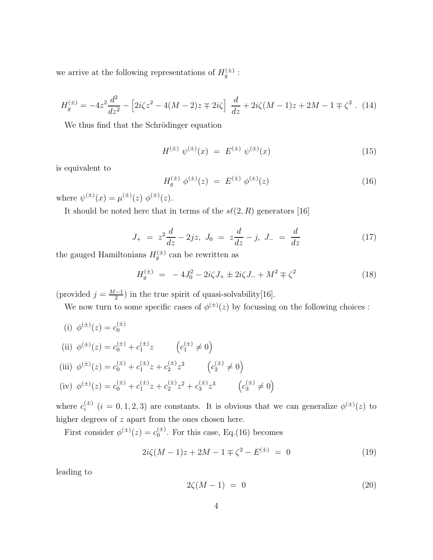we arrive at the following representations of  $H_g^{(\pm)}$ :

$$
H_g^{(\pm)} = -4z^2 \frac{d^2}{dz^2} - \left[2i\zeta z^2 - 4(M-2)z \mp 2i\zeta\right] \frac{d}{dz} + 2i\zeta(M-1)z + 2M - 1 \mp \zeta^2 \ . \tag{14}
$$

We thus find that the Schrödinger equation

$$
H^{(\pm)} \psi^{(\pm)}(x) = E^{(\pm)} \psi^{(\pm)}(x) \tag{15}
$$

is equivalent to

$$
H_g^{(\pm)} \phi^{(\pm)}(z) = E^{(\pm)} \phi^{(\pm)}(z) \tag{16}
$$

where  $\psi^{(\pm)}(x) = \mu^{(\pm)}(z) \phi^{(\pm)}(z)$ .

It should be noted here that in terms of the  $s\ell(2, R)$  generators [16]

$$
J_{+} = z^{2} \frac{d}{dz} - 2jz, \ J_{0} = z \frac{d}{dz} - j, \ J_{-} = \frac{d}{dz}
$$
 (17)

the gauged Hamiltonians  $H_g^{(\pm)}$  can be rewritten as

$$
H_g^{(\pm)} = -4J_0^2 - 2i\zeta J_+ \pm 2i\zeta J_- + M^2 \mp \zeta^2 \tag{18}
$$

(provided  $j = \frac{M-1}{2}$  $\frac{-1}{2}$ ) in the true spirit of quasi-solvability[16].

We now turn to some specific cases of  $\phi^{(\pm)}(z)$  by focussing on the following choices :

(i)  $\phi^{(\pm)}(z) = c_0^{(\pm)}$  $\boldsymbol{0}$ (ii)  $\phi^{(\pm)}(z) = c_0^{(\pm)} + c_1^{(\pm)} z \qquad (c_1^{(\pm)} \neq 0)$ (iii)  $\phi^{(\pm)}(z) = c_0^{(\pm)} + c_1^{(\pm)} z + c_2^{(\pm)} z^2$   $(c_2^{(\pm)} \neq 0)$ (iv)  $\phi^{(\pm)}(z) = c_0^{(\pm)} + c_1^{(\pm)}z + c_2^{(\pm)}z^2 + c_3^{(\pm)}z^3$   $(c_3^{(\pm)} \neq 0)$ 

where  $c_i^{(\pm)}$  $i^{(\pm)}$   $(i = 0, 1, 2, 3)$  are constants. It is obvious that we can generalize  $\phi^{(\pm)}(z)$  to higher degrees of z apart from the ones chosen here.

First consider  $\phi^{(\pm)}(z) = c_0^{(\pm)}$  $_{0}^{(\pm)}$ . For this case, Eq.(16) becomes

$$
2i\zeta(M-1)z + 2M - 1 \mp \zeta^2 - E^{(\pm)} = 0 \tag{19}
$$

leading to

$$
2\zeta(M-1) = 0 \tag{20}
$$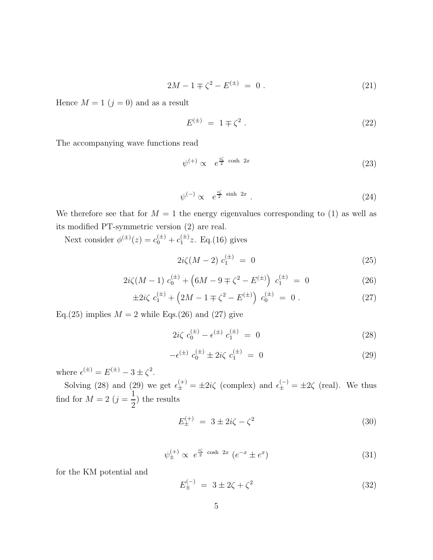$$
2M - 1 \mp \zeta^2 - E^{(\pm)} = 0.
$$
 (21)

Hence  $M = 1$   $(j = 0)$  and as a result

$$
E^{(\pm)} = 1 \mp \zeta^2 \,. \tag{22}
$$

The accompanying wave functions read

$$
\psi^{(+)} \propto e^{\frac{i\zeta}{2} \cosh 2x} \tag{23}
$$

$$
\psi^{(-)} \propto e^{\frac{i\zeta}{2}\sinh 2x}.
$$
\n(24)

We therefore see that for  $M = 1$  the energy eigenvalues corresponding to (1) as well as its modified PT-symmetric version (2) are real.

Next consider  $\phi^{(\pm)}(z) = c_0^{(\pm)} + c_1^{(\pm)}z$ . Eq.(16) gives

$$
2i\zeta(M-2) c_1^{(\pm)} = 0 \tag{25}
$$

$$
2i\zeta(M-1) c_0^{(\pm)} + \left(6M - 9 \mp \zeta^2 - E^{(\pm)}\right) c_1^{(\pm)} = 0 \tag{26}
$$

$$
\pm 2i\zeta \ c_1^{(\pm)} + \left(2M - 1 \mp \zeta^2 - E^{(\pm)}\right) \ c_0^{(\pm)} = 0 \ . \tag{27}
$$

Eq.(25) implies  $M = 2$  while Eqs.(26) and (27) give

$$
2i\zeta \; c_0^{(\pm)} - \epsilon^{(\pm)} \; c_1^{(\pm)} = 0 \tag{28}
$$

$$
- \epsilon^{(\pm)} c_0^{(\pm)} \pm 2i\zeta c_1^{(\pm)} = 0 \tag{29}
$$

where  $\epsilon^{(\pm)} = E^{(\pm)} - 3 \pm \zeta^2$ .

Solving (28) and (29) we get  $\epsilon_{\pm}^{(+)} = \pm 2i\zeta$  (complex) and  $\epsilon_{\pm}^{(-)} = \pm 2\zeta$  (real). We thus find for  $M=2$   $(j=\frac{1}{2})$ 2 ) the results

$$
E_{\pm}^{(+)} = 3 \pm 2i\zeta - \zeta^2 \tag{30}
$$

$$
\psi_{\pm}^{(+)} \propto e^{\frac{i\zeta}{2} \cosh 2x} \left( e^{-x} \pm e^x \right) \tag{31}
$$

for the KM potential and

$$
E_{\pm}^{(-)} = 3 \pm 2\zeta + \zeta^2 \tag{32}
$$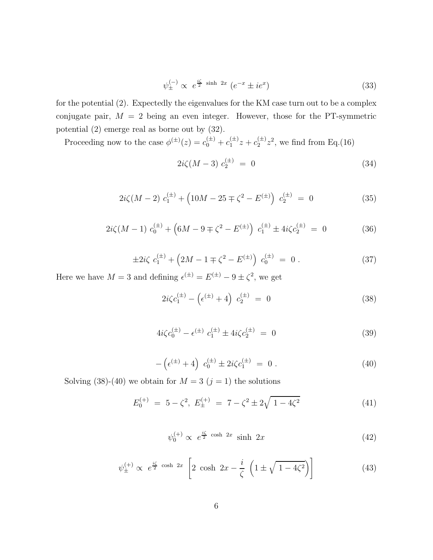$$
\psi_{\pm}^{(-)} \propto e^{\frac{i\zeta}{2}\sinh 2x} \left( e^{-x} \pm i e^x \right) \tag{33}
$$

for the potential (2). Expectedly the eigenvalues for the KM case turn out to be a complex conjugate pair,  $M = 2$  being an even integer. However, those for the PT-symmetric potential (2) emerge real as borne out by (32).

Proceeding now to the case  $\phi^{(\pm)}(z) = c_0^{(\pm)} + c_1^{(\pm)}z + c_2^{(\pm)}z^2$ , we find from Eq.(16)

$$
2i\zeta(M-3) c_2^{(\pm)} = 0 \tag{34}
$$

$$
2i\zeta(M-2) c_1^{(\pm)} + \left(10M - 25 \mp \zeta^2 - E^{(\pm)}\right) c_2^{(\pm)} = 0 \tag{35}
$$

$$
2i\zeta(M-1) c_0^{(\pm)} + \left(6M - 9 \mp \zeta^2 - E^{(\pm)}\right) c_1^{(\pm)} \pm 4i\zeta c_2^{(\pm)} = 0 \tag{36}
$$

$$
\pm 2i\zeta \ c_1^{(\pm)} + \left(2M - 1 \mp \zeta^2 - E^{(\pm)}\right) \ c_0^{(\pm)} = 0 \ . \tag{37}
$$

Here we have  $M = 3$  and defining  $\epsilon^{(\pm)} = E^{(\pm)} - 9 \pm \zeta^2$ , we get

$$
2i\zeta c_1^{(\pm)} - \left(\epsilon^{(\pm)} + 4\right) c_2^{(\pm)} = 0 \tag{38}
$$

$$
4i\zeta c_0^{(\pm)} - \epsilon^{(\pm)} c_1^{(\pm)} \pm 4i\zeta c_2^{(\pm)} = 0 \tag{39}
$$

$$
-\left(\epsilon^{(\pm)} + 4\right) c_0^{(\pm)} \pm 2i\zeta c_1^{(\pm)} = 0.
$$
 (40)

Solving (38)-(40) we obtain for  $M = 3$   $(j = 1)$  the solutions

$$
E_0^{(+)} = 5 - \zeta^2, \ E_{\pm}^{(+)} = 7 - \zeta^2 \pm 2\sqrt{1 - 4\zeta^2} \tag{41}
$$

$$
\psi_0^{(+)} \propto e^{\frac{i\zeta}{2} \cosh 2x} \sinh 2x \tag{42}
$$

$$
\psi_{\pm}^{(+)} \propto e^{\frac{i\zeta}{2} \cosh 2x} \left[ 2 \cosh 2x - \frac{i}{\zeta} \left( 1 \pm \sqrt{1 - 4\zeta^2} \right) \right] \tag{43}
$$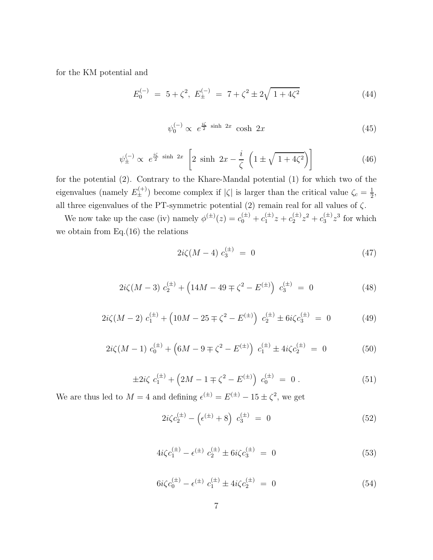for the KM potential and

$$
E_0^{(-)} = 5 + \zeta^2, E_{\pm}^{(-)} = 7 + \zeta^2 \pm 2\sqrt{1 + 4\zeta^2}
$$
 (44)

$$
\psi_0^{(-)} \propto e^{\frac{i\zeta}{2} \sinh 2x} \cosh 2x \tag{45}
$$

$$
\psi_{\pm}^{(-)} \propto e^{\frac{i\zeta}{2} \sinh 2x} \left[ 2 \sinh 2x - \frac{i}{\zeta} \left( 1 \pm \sqrt{1 + 4\zeta^2} \right) \right]
$$
\n(46)

for the potential (2). Contrary to the Khare-Mandal potential (1) for which two of the eigenvalues (namely  $E_{\pm}^{(+)}$ ) become complex if  $|\zeta|$  is larger than the critical value  $\zeta_c = \frac{1}{2}$  $\frac{1}{2}$ all three eigenvalues of the PT-symmetric potential (2) remain real for all values of  $\zeta$ .

We now take up the case (iv) namely  $\phi^{(\pm)}(z) = c_0^{(\pm)} + c_1^{(\pm)}z + c_2^{(\pm)}z^2 + c_3^{(\pm)}z^3$  for which we obtain from Eq.(16) the relations

$$
2i\zeta(M-4) \; c_3^{(\pm)} = 0 \tag{47}
$$

$$
2i\zeta(M-3) c_2^{(\pm)} + \left(14M - 49 \mp \zeta^2 - E^{(\pm)}\right) c_3^{(\pm)} = 0 \tag{48}
$$

$$
2i\zeta(M-2) c_1^{(\pm)} + \left(10M - 25 \mp \zeta^2 - E^{(\pm)}\right) c_2^{(\pm)} \pm 6i\zeta c_3^{(\pm)} = 0 \tag{49}
$$

$$
2i\zeta(M-1) c_0^{(\pm)} + \left(6M - 9 \mp \zeta^2 - E^{(\pm)}\right) c_1^{(\pm)} \pm 4i\zeta c_2^{(\pm)} = 0 \tag{50}
$$

$$
\pm 2i\zeta \ c_1^{(\pm)} + \left(2M - 1 \mp \zeta^2 - E^{(\pm)}\right) \ c_0^{(\pm)} = 0 \ . \tag{51}
$$

We are thus led to  $M = 4$  and defining  $\epsilon^{(\pm)} = E^{(\pm)} - 15 \pm \zeta^2$ , we get

$$
2i\zeta c_2^{(\pm)} - \left(\epsilon^{(\pm)} + 8\right) c_3^{(\pm)} = 0 \tag{52}
$$

$$
4i\zeta c_1^{(\pm)} - \epsilon^{(\pm)} c_2^{(\pm)} \pm 6i\zeta c_3^{(\pm)} = 0 \tag{53}
$$

$$
6i\zeta c_0^{(\pm)} - \epsilon^{(\pm)} c_1^{(\pm)} \pm 4i\zeta c_2^{(\pm)} = 0 \tag{54}
$$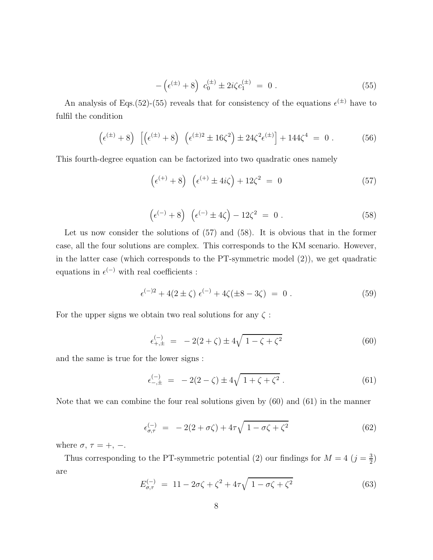$$
-\left(\epsilon^{(\pm)} + 8\right) c_0^{(\pm)} \pm 2i\zeta c_1^{(\pm)} = 0.
$$
 (55)

An analysis of Eqs.(52)-(55) reveals that for consistency of the equations  $\epsilon^{(\pm)}$  have to fulfil the condition

$$
\left(\epsilon^{(\pm)} + 8\right) \left[ \left(\epsilon^{(\pm)} + 8\right) \left(\epsilon^{(\pm)2} \pm 16\zeta^2\right) \pm 24\zeta^2 \epsilon^{(\pm)} \right] + 144\zeta^4 = 0. \tag{56}
$$

This fourth-degree equation can be factorized into two quadratic ones namely

$$
\left(\epsilon^{(+)}+8\right)\ \left(\epsilon^{(+)}\pm 4i\zeta\right)+12\zeta^2\ =\ 0\tag{57}
$$

$$
\left(\epsilon^{(-)}+8\right)\ \left(\epsilon^{(-)}\pm 4\zeta\right)-12\zeta^2\ =\ 0\ .\tag{58}
$$

Let us now consider the solutions of (57) and (58). It is obvious that in the former case, all the four solutions are complex. This corresponds to the KM scenario. However, in the latter case (which corresponds to the PT-symmetric model (2)), we get quadratic equations in  $\epsilon^{(-)}$  with real coefficients :

$$
\epsilon^{(-)2} + 4(2 \pm \zeta) \epsilon^{(-)} + 4\zeta(\pm 8 - 3\zeta) = 0.
$$
 (59)

For the upper signs we obtain two real solutions for any  $\zeta$ :

$$
\epsilon_{+, \pm}^{(-)} = -2(2+\zeta) \pm 4\sqrt{1-\zeta+\zeta^2} \tag{60}
$$

and the same is true for the lower signs :

$$
\epsilon_{-, \pm}^{(-)} = -2(2-\zeta) \pm 4\sqrt{1+\zeta+\zeta^2} \,. \tag{61}
$$

Note that we can combine the four real solutions given by (60) and (61) in the manner

$$
\epsilon_{\sigma,\tau}^{(-)} = -2(2+\sigma\zeta) + 4\tau\sqrt{1-\sigma\zeta+\zeta^2} \tag{62}
$$

where  $\sigma$ ,  $\tau = +$ , -.

Thus corresponding to the PT-symmetric potential (2) our findings for  $M = 4$  ( $j = \frac{3}{2}$ )  $\frac{3}{2}$ are

$$
E_{\sigma,\tau}^{(-)} = 11 - 2\sigma\zeta + \zeta^2 + 4\tau\sqrt{1 - \sigma\zeta + \zeta^2}
$$
 (63)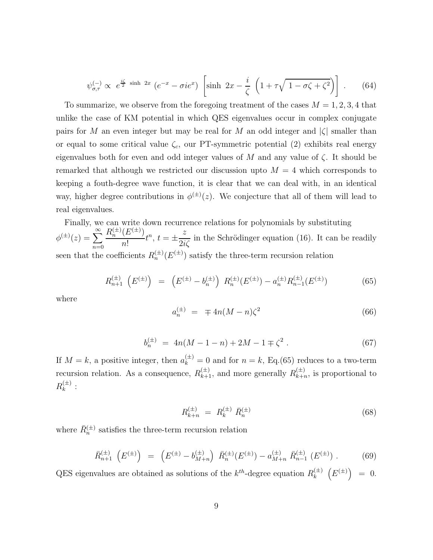$$
\psi_{\sigma,\tau}^{(-)} \propto e^{\frac{i\zeta}{2}\sinh 2x} \left( e^{-x} - \sigma i e^x \right) \left[ \sinh 2x - \frac{i}{\zeta} \left( 1 + \tau \sqrt{1 - \sigma \zeta + \zeta^2} \right) \right] . \tag{64}
$$

To summarize, we observe from the foregoing treatment of the cases  $M = 1, 2, 3, 4$  that unlike the case of KM potential in which QES eigenvalues occur in complex conjugate pairs for M an even integer but may be real for M an odd integer and  $|\zeta|$  smaller than or equal to some critical value  $\zeta_c$ , our PT-symmetric potential (2) exhibits real energy eigenvalues both for even and odd integer values of M and any value of  $\zeta$ . It should be remarked that although we restricted our discussion upto  $M = 4$  which corresponds to keeping a fouth-degree wave function, it is clear that we can deal with, in an identical way, higher degree contributions in  $\phi^{(\pm)}(z)$ . We conjecture that all of them will lead to real eigenvalues.

Finally, we can write down recurrence relations for polynomials by substituting  $\phi^{(\pm)}(z) = \sum_{n=0}^{\infty}$  $n=0$  $R_n^{(\pm)}(E^{(\pm)})$ n!  $t^n$ ,  $t = \pm$ z  $\frac{1}{2i\zeta}$  in the Schrödinger equation (16). It can be readily seen that the coefficients  $R_n^{(\pm)}(E^{(\pm)})$  satisfy the three-term recursion relation

$$
R_{n+1}^{(\pm)}\left(E^{(\pm)}\right) = \left(E^{(\pm)} - b_n^{(\pm)}\right)R_n^{(\pm)}(E^{(\pm)}) - a_n^{(\pm)}R_{n-1}^{(\pm)}(E^{(\pm)})\tag{65}
$$

where

$$
a_n^{(\pm)} = \mp 4n(M - n)\zeta^2 \tag{66}
$$

$$
b_n^{(\pm)} = 4n(M - 1 - n) + 2M - 1 \mp \zeta^2. \tag{67}
$$

If  $M = k$ , a positive integer, then  $a_k^{(\pm)} = 0$  and for  $n = k$ , Eq.(65) reduces to a two-term recursion relation. As a consequence,  $R_{k+1}^{(\pm)}$ , and more generally  $R_{k+n}^{(\pm)}$  $\binom{(\pm)}{k+n}$ , is proportional to  $R_k^{(\pm)}$  $\stackrel{(\pm)}{k}$ :

$$
R_{k+n}^{(\pm)} = R_k^{(\pm)} \, \bar{R}_n^{(\pm)} \tag{68}
$$

where  $\bar{R}_{n}^{(\pm)}$  satisfies the three-term recursion relation

$$
\bar{R}_{n+1}^{(\pm)}\left(E^{(\pm)}\right) = \left(E^{(\pm)} - b_{M+n}^{(\pm)}\right)\bar{R}_{n}^{(\pm)}(E^{(\pm)}) - a_{M+n}^{(\pm)}\bar{R}_{n-1}^{(\pm)}\left(E^{(\pm)}\right). \tag{69}
$$

QES eigenvalues are obtained as solutions of the  $k^{th}$ -degree equation  $R_k^{(\pm)}$  $k^{(\pm)}\ \left(E^{(\pm)}\right) = 0.$